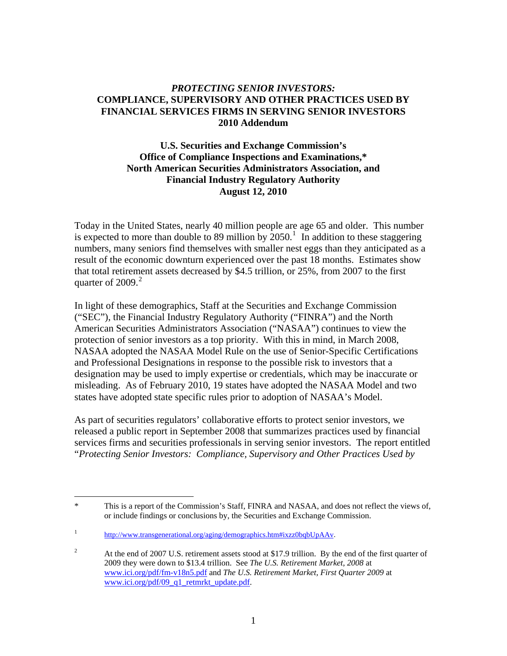#### *PROTECTING SENIOR INVESTORS:*  **COMPLIANCE, SUPERVISORY AND OTHER PRACTICES USED BY FINANCIAL SERVICES FIRMS IN SERVING SENIOR INVESTORS 2010 Addendum**

#### **U.S. Securities and Exchange Commission's Office of Compliance Inspections and Examinations,\* North American Securities Administrators Association, and Financial Industry Regulatory Authority August 12, 2010**

Today in the United States, nearly 40 million people are age 65 and older. This number is expected to more than double to 89 million by  $2050<sup>1</sup>$  $2050<sup>1</sup>$  $2050<sup>1</sup>$  In addition to these staggering numbers, many seniors find themselves with smaller nest eggs than they anticipated as a result of the economic downturn experienced over the past 18 months. Estimates show that total retirement assets decreased by \$4.5 trillion, or 25%, from 2007 to the first quarter of  $2009.<sup>2</sup>$  $2009.<sup>2</sup>$ 

In light of these demographics, Staff at the Securities and Exchange Commission ("SEC"), the Financial Industry Regulatory Authority ("FINRA") and the North American Securities Administrators Association ("NASAA") continues to view the protection of senior investors as a top priority. With this in mind, in March 2008, NASAA adopted the NASAA Model Rule on the use of Senior-Specific Certifications and Professional Designations in response to the possible risk to investors that a designation may be used to imply expertise or credentials, which may be inaccurate or misleading. As of February 2010, 19 states have adopted the NASAA Model and two states have adopted state specific rules prior to adoption of NASAA's Model.

As part of securities regulators' collaborative efforts to protect senior investors, we released a public report in September 2008 that summarizes practices used by financial services firms and securities professionals in serving senior investors. The report entitled "*Protecting Senior Investors: Compliance, Supervisory and Other Practices Used by* 

<span id="page-0-0"></span> $\overline{a}$ \* This is a report of the Commission's Staff, FINRA and NASAA, and does not reflect the views of, or include findings or conclusions by, the Securities and Exchange Commission.

<sup>1</sup> <http://www.transgenerational.org/aging/demographics.htm#ixzz0bqbUpAAv>.

<span id="page-0-1"></span><sup>2</sup> At the end of 2007 U.S. retirement assets stood at \$17.9 trillion. By the end of the first quarter of 2009 they were down to \$13.4 trillion. See *The U.S. Retirement Market, 2008* at [www.ici.org/pdf/fm-v18n5.pdf](http://www.ici.org/pdf/fm-v18n5.pdf) and *The U.S. Retirement Market, First Quarter 2009* at [www.ici.org/pdf/09\\_q1\\_retmrkt\\_update.pdf.](http://www.ici.org/pdf/09_q1_retmrkt_update.pdf)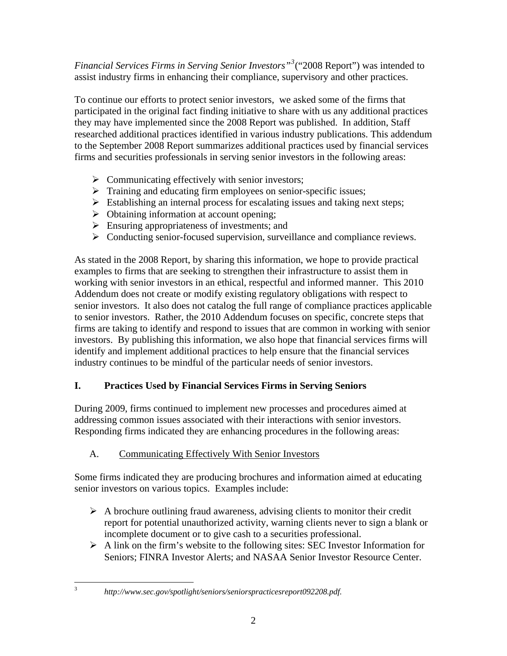*Financial Services Firms in Serving Senior Investors"[3](#page-1-0)* ("2008 Report") was intended to assist industry firms in enhancing their compliance, supervisory and other practices.

To continue our efforts to protect senior investors, we asked some of the firms that participated in the original fact finding initiative to share with us any additional practices they may have implemented since the 2008 Report was published. In addition, Staff researched additional practices identified in various industry publications. This addendum to the September 2008 Report summarizes additional practices used by financial services firms and securities professionals in serving senior investors in the following areas:

- $\triangleright$  Communicating effectively with senior investors;
- $\triangleright$  Training and educating firm employees on senior-specific issues;
- $\triangleright$  Establishing an internal process for escalating issues and taking next steps;
- $\triangleright$  Obtaining information at account opening;
- $\triangleright$  Ensuring appropriateness of investments; and
- $\triangleright$  Conducting senior-focused supervision, surveillance and compliance reviews.

As stated in the 2008 Report, by sharing this information, we hope to provide practical examples to firms that are seeking to strengthen their infrastructure to assist them in working with senior investors in an ethical, respectful and informed manner. This 2010 Addendum does not create or modify existing regulatory obligations with respect to senior investors. It also does not catalog the full range of compliance practices applicable to senior investors. Rather, the 2010 Addendum focuses on specific, concrete steps that firms are taking to identify and respond to issues that are common in working with senior investors. By publishing this information, we also hope that financial services firms will identify and implement additional practices to help ensure that the financial services industry continues to be mindful of the particular needs of senior investors.

# **I. Practices Used by Financial Services Firms in Serving Seniors**

During 2009, firms continued to implement new processes and procedures aimed at addressing common issues associated with their interactions with senior investors. Responding firms indicated they are enhancing procedures in the following areas:

# A. Communicating Effectively With Senior Investors

Some firms indicated they are producing brochures and information aimed at educating senior investors on various topics. Examples include:

- $\triangleright$  A brochure outlining fraud awareness, advising clients to monitor their credit report for potential unauthorized activity, warning clients never to sign a blank or incomplete document or to give cash to a securities professional.
- $\triangleright$  A link on the firm's website to the following sites: SEC Investor Information for Seniors; FINRA Investor Alerts; and NASAA Senior Investor Resource Center.

<span id="page-1-0"></span> $\frac{1}{3}$ 

*http://www.sec.gov/spotlight/seniors/seniorspracticesreport092208.pdf.*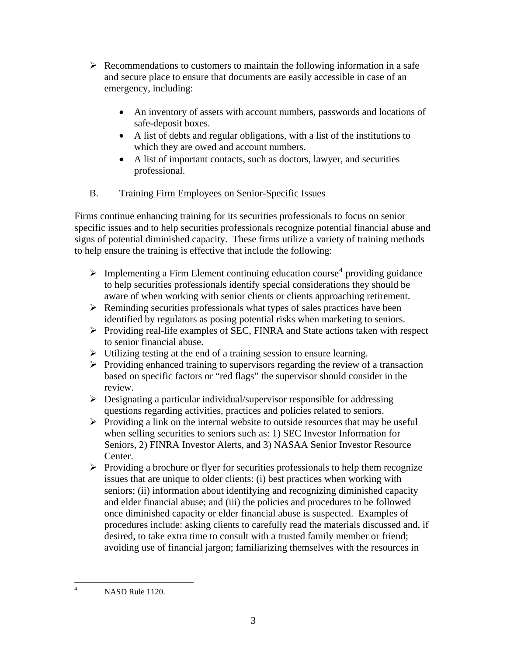- $\triangleright$  Recommendations to customers to maintain the following information in a safe and secure place to ensure that documents are easily accessible in case of an emergency, including:
	- An inventory of assets with account numbers, passwords and locations of safe-deposit boxes.
	- A list of debts and regular obligations, with a list of the institutions to which they are owed and account numbers.
	- A list of important contacts, such as doctors, lawyer, and securities professional.
- B. Training Firm Employees on Senior-Specific Issues

Firms continue enhancing training for its securities professionals to focus on senior specific issues and to help securities professionals recognize potential financial abuse and signs of potential diminished capacity. These firms utilize a variety of training methods to help ensure the training is effective that include the following:

- $\triangleright$  Implementing a Firm Element continuing education course<sup>[4](#page-2-0)</sup> providing guidance to help securities professionals identify special considerations they should be aware of when working with senior clients or clients approaching retirement.
- $\triangleright$  Reminding securities professionals what types of sales practices have been identified by regulators as posing potential risks when marketing to seniors.
- ¾ Providing real-life examples of SEC, FINRA and State actions taken with respect to senior financial abuse.
- $\triangleright$  Utilizing testing at the end of a training session to ensure learning.
- $\triangleright$  Providing enhanced training to supervisors regarding the review of a transaction based on specific factors or "red flags" the supervisor should consider in the review.
- $\triangleright$  Designating a particular individual/supervisor responsible for addressing questions regarding activities, practices and policies related to seniors.
- $\triangleright$  Providing a link on the internal website to outside resources that may be useful when selling securities to seniors such as: 1) SEC Investor Information for Seniors, 2) FINRA Investor Alerts, and 3) NASAA Senior Investor Resource Center.
- $\triangleright$  Providing a brochure or flyer for securities professionals to help them recognize issues that are unique to older clients: (i) best practices when working with seniors; (ii) information about identifying and recognizing diminished capacity and elder financial abuse; and (iii) the policies and procedures to be followed once diminished capacity or elder financial abuse is suspected. Examples of procedures include: asking clients to carefully read the materials discussed and, if desired, to take extra time to consult with a trusted family member or friend; avoiding use of financial jargon; familiarizing themselves with the resources in

<span id="page-2-0"></span> $\frac{1}{4}$ NASD Rule 1120.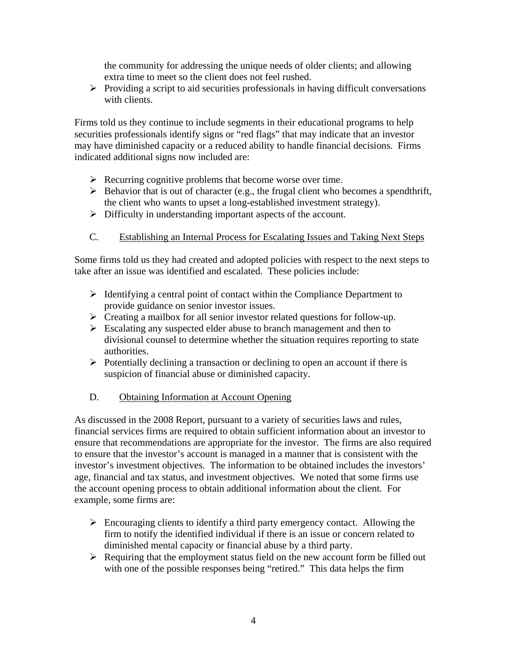the community for addressing the unique needs of older clients; and allowing extra time to meet so the client does not feel rushed.

 $\triangleright$  Providing a script to aid securities professionals in having difficult conversations with clients.

Firms told us they continue to include segments in their educational programs to help securities professionals identify signs or "red flags" that may indicate that an investor may have diminished capacity or a reduced ability to handle financial decisions. Firms indicated additional signs now included are:

- $\triangleright$  Recurring cognitive problems that become worse over time.
- $\triangleright$  Behavior that is out of character (e.g., the frugal client who becomes a spendthrift, the client who wants to upset a long-established investment strategy).
- $\triangleright$  Difficulty in understanding important aspects of the account.
- C. Establishing an Internal Process for Escalating Issues and Taking Next Steps

Some firms told us they had created and adopted policies with respect to the next steps to take after an issue was identified and escalated. These policies include:

- $\triangleright$  Identifying a central point of contact within the Compliance Department to provide guidance on senior investor issues.
- $\triangleright$  Creating a mailbox for all senior investor related questions for follow-up.
- $\triangleright$  Escalating any suspected elder abuse to branch management and then to divisional counsel to determine whether the situation requires reporting to state authorities.
- $\triangleright$  Potentially declining a transaction or declining to open an account if there is suspicion of financial abuse or diminished capacity.
- D. Obtaining Information at Account Opening

As discussed in the 2008 Report, pursuant to a variety of securities laws and rules, financial services firms are required to obtain sufficient information about an investor to ensure that recommendations are appropriate for the investor. The firms are also required to ensure that the investor's account is managed in a manner that is consistent with the investor's investment objectives. The information to be obtained includes the investors' age, financial and tax status, and investment objectives. We noted that some firms use the account opening process to obtain additional information about the client. For example, some firms are:

- $\triangleright$  Encouraging clients to identify a third party emergency contact. Allowing the firm to notify the identified individual if there is an issue or concern related to diminished mental capacity or financial abuse by a third party.
- $\triangleright$  Requiring that the employment status field on the new account form be filled out with one of the possible responses being "retired." This data helps the firm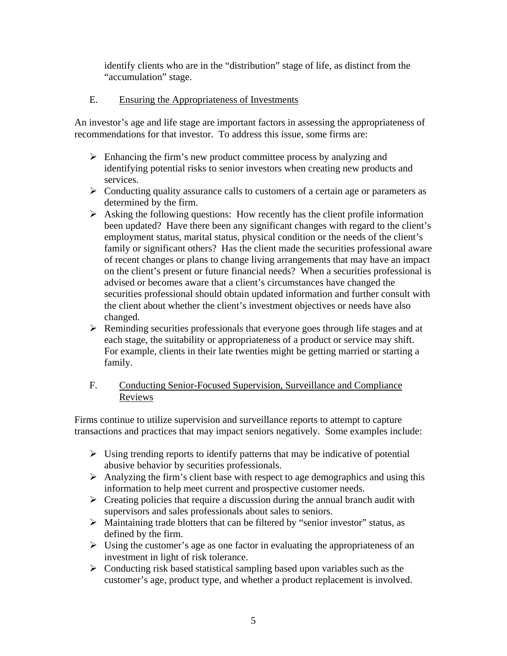identify clients who are in the "distribution" stage of life, as distinct from the "accumulation" stage.

## E. Ensuring the Appropriateness of Investments

An investor's age and life stage are important factors in assessing the appropriateness of recommendations for that investor. To address this issue, some firms are:

- $\triangleright$  Enhancing the firm's new product committee process by analyzing and identifying potential risks to senior investors when creating new products and services.
- $\triangleright$  Conducting quality assurance calls to customers of a certain age or parameters as determined by the firm.
- $\triangleright$  Asking the following questions: How recently has the client profile information been updated? Have there been any significant changes with regard to the client's employment status, marital status, physical condition or the needs of the client's family or significant others? Has the client made the securities professional aware of recent changes or plans to change living arrangements that may have an impact on the client's present or future financial needs? When a securities professional is advised or becomes aware that a client's circumstances have changed the securities professional should obtain updated information and further consult with the client about whether the client's investment objectives or needs have also changed.
- $\triangleright$  Reminding securities professionals that everyone goes through life stages and at each stage, the suitability or appropriateness of a product or service may shift. For example, clients in their late twenties might be getting married or starting a family.

### F. Conducting Senior-Focused Supervision, Surveillance and Compliance Reviews

Firms continue to utilize supervision and surveillance reports to attempt to capture transactions and practices that may impact seniors negatively. Some examples include:

- $\triangleright$  Using trending reports to identify patterns that may be indicative of potential abusive behavior by securities professionals.
- $\triangleright$  Analyzing the firm's client base with respect to age demographics and using this information to help meet current and prospective customer needs.
- $\triangleright$  Creating policies that require a discussion during the annual branch audit with supervisors and sales professionals about sales to seniors.
- $\triangleright$  Maintaining trade blotters that can be filtered by "senior investor" status, as defined by the firm.
- $\triangleright$  Using the customer's age as one factor in evaluating the appropriateness of an investment in light of risk tolerance.
- $\triangleright$  Conducting risk based statistical sampling based upon variables such as the customer's age, product type, and whether a product replacement is involved.